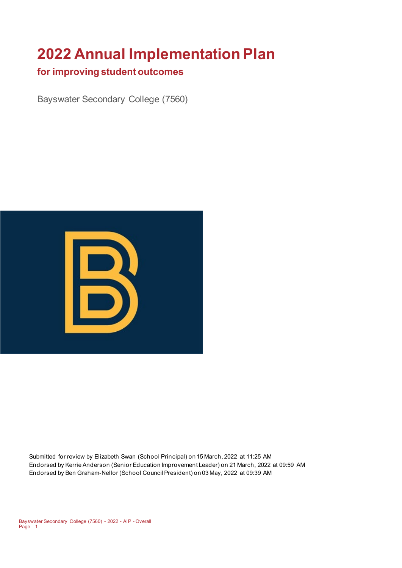# **2022 Annual Implementation Plan**

### **for improving student outcomes**

Bayswater Secondary College (7560)



Submitted for review by Elizabeth Swan (School Principal) on 15 March, 2022 at 11:25 AM Endorsed by Kerrie Anderson (Senior Education Improvement Leader) on 21 March, 2022 at 09:59 AM Endorsed by Ben Graham-Nellor (School Council President) on 03 May, 2022 at 09:39 AM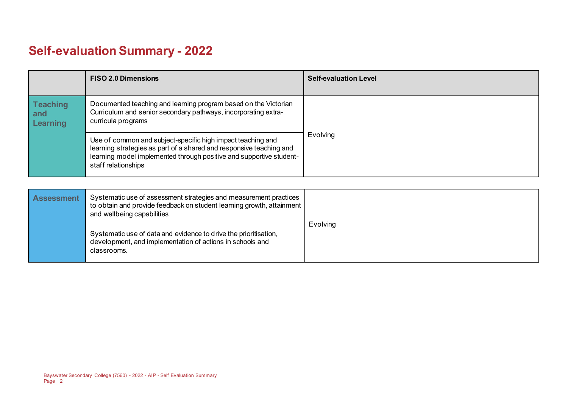# **Self-evaluation Summary - 2022**

|                                           | <b>FISO 2.0 Dimensions</b>                                                                                                                                                                                                       | <b>Self-evaluation Level</b> |
|-------------------------------------------|----------------------------------------------------------------------------------------------------------------------------------------------------------------------------------------------------------------------------------|------------------------------|
| <b>Teaching</b><br>and<br><b>Learning</b> | Documented teaching and learning program based on the Victorian<br>Curriculum and senior secondary pathways, incorporating extra-<br>curricula programs                                                                          |                              |
|                                           | Use of common and subject-specific high impact teaching and<br>learning strategies as part of a shared and responsive teaching and<br>learning model implemented through positive and supportive student-<br>staff relationships | Evolving                     |

| <b>Assessment</b> | Systematic use of assessment strategies and measurement practices<br>to obtain and provide feedback on student learning growth, attainment<br>and wellbeing capabilities | Evolving |
|-------------------|--------------------------------------------------------------------------------------------------------------------------------------------------------------------------|----------|
|                   | Systematic use of data and evidence to drive the prioritisation,<br>development, and implementation of actions in schools and<br>classrooms.                             |          |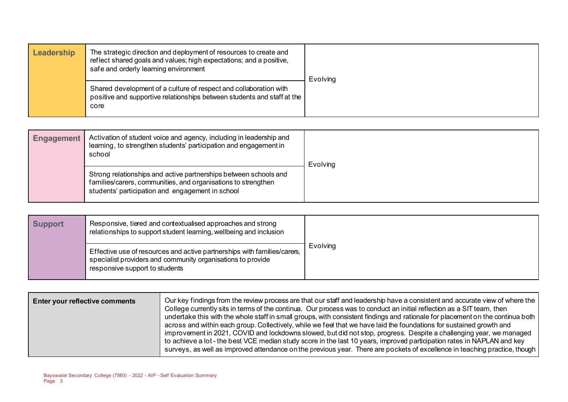| Leadership | The strategic direction and deployment of resources to create and<br>reflect shared goals and values; high expectations; and a positive,<br>safe and orderly learning environment | Evolving |
|------------|-----------------------------------------------------------------------------------------------------------------------------------------------------------------------------------|----------|
|            | Shared development of a culture of respect and collaboration with<br>positive and supportive relationships between students and staff at the<br>core                              |          |

| <b>Engagement</b> | Activation of student voice and agency, including in leadership and<br>learning, to strengthen students' participation and engagement in<br>school                                    | <b>Evolving</b> |
|-------------------|---------------------------------------------------------------------------------------------------------------------------------------------------------------------------------------|-----------------|
|                   | Strong relationships and active partnerships between schools and<br>families/carers, communities, and organisations to strengthen<br>students' participation and engagement in school |                 |

| <b>Support</b> | Responsive, tiered and contextualised approaches and strong<br>relationships to support student learning, wellbeing and inclusion                                         |                 |
|----------------|---------------------------------------------------------------------------------------------------------------------------------------------------------------------------|-----------------|
|                | Effective use of resources and active partnerships with families/carers,<br>specialist providers and community organisations to provide<br>responsive support to students | <b>Evolving</b> |

| Enter your reflective comments | Our key findings from the review process are that our staff and leadership have a consistent and accurate view of where the<br>College currently sits in terms of the continua. Our process was to conduct an initial reflection as a SIT team, then<br>undertake this with the whole staff in small groups, with consistent findings and rationale for placement on the continua both<br>across and within each group. Collectively, while we feel that we have laid the foundations for sustained growth and<br>improvement in 2021, COVID and lockdowns slowed, but did not stop, progress. Despite a challenging year, we managed |
|--------------------------------|---------------------------------------------------------------------------------------------------------------------------------------------------------------------------------------------------------------------------------------------------------------------------------------------------------------------------------------------------------------------------------------------------------------------------------------------------------------------------------------------------------------------------------------------------------------------------------------------------------------------------------------|
|                                | to achieve a lot-the best VCE median study score in the last 10 years, improved participation rates in NAPLAN and key<br>surveys, as well as improved attendance on the previous year. There are pockets of excellence in teaching practice, though                                                                                                                                                                                                                                                                                                                                                                                   |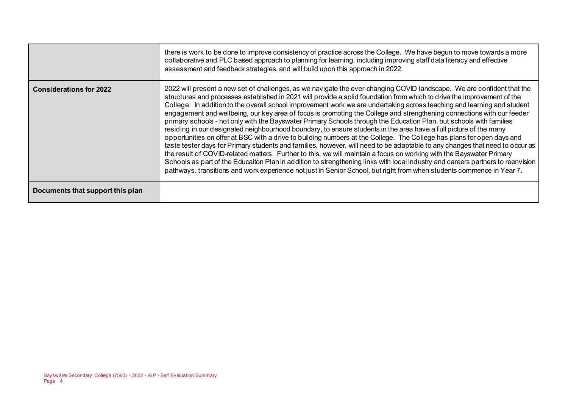|                                  | there is work to be done to improve consistency of practice across the College. We have begun to move towards a more<br>collaborative and PLC based approach to planning for learning, including improving staff data literacy and effective<br>assessment and feedback strategies, and will build upon this approach in 2022.                                                                                                                                                                                                                                                                                                                                                                                                                                                                                                                                                                                                                                                                                                                                                                                                                                                                                                                                                                                                                                                                   |
|----------------------------------|--------------------------------------------------------------------------------------------------------------------------------------------------------------------------------------------------------------------------------------------------------------------------------------------------------------------------------------------------------------------------------------------------------------------------------------------------------------------------------------------------------------------------------------------------------------------------------------------------------------------------------------------------------------------------------------------------------------------------------------------------------------------------------------------------------------------------------------------------------------------------------------------------------------------------------------------------------------------------------------------------------------------------------------------------------------------------------------------------------------------------------------------------------------------------------------------------------------------------------------------------------------------------------------------------------------------------------------------------------------------------------------------------|
| <b>Considerations for 2022</b>   | 2022 will present a new set of challenges, as we navigate the ever-changing COVID landscape. We are confident that the<br>structures and processes established in 2021 will provide a solid foundation from which to drive the improvement of the<br>College. In addition to the overall school improvement work we are undertaking across teaching and learning and student<br>engagement and wellbeing, our key area of focus is promoting the College and strengthening connections with our feeder<br>primary schools - not only with the Bayswater Primary Schools through the Education Plan, but schools with families<br>residing in our designated neighbourhood boundary, to ensure students in the area have a full picture of the many<br>opportunities on offer at BSC with a drive to building numbers at the College. The College has plans for open days and<br>taste tester days for Primary students and families, however, will need to be adaptable to any changes that need to occur as<br>the result of COVID-related matters. Further to this, we will maintain a focus on working with the Bayswater Primary<br>Schools as part of the Educaiton Plan in addition to strengthening links with local industry and careers partners to reenvision<br>pathways, transitions and work experience not just in Senior School, but right from when students commence in Year 7. |
| Documents that support this plan |                                                                                                                                                                                                                                                                                                                                                                                                                                                                                                                                                                                                                                                                                                                                                                                                                                                                                                                                                                                                                                                                                                                                                                                                                                                                                                                                                                                                  |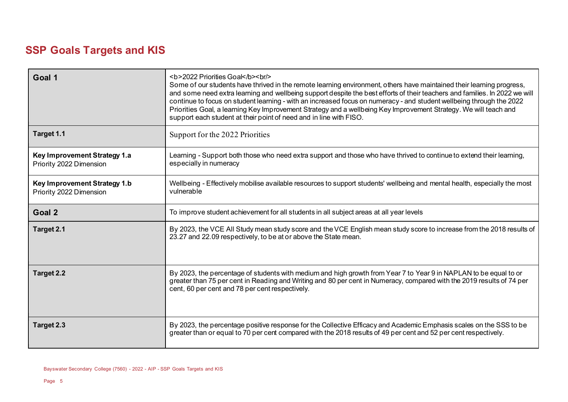# **SSP Goals Targets and KIS**

| Goal 1                                                  | <b>2022 Priorities Goal</b><br><br>Some of our students have thrived in the remote learning environment, others have maintained their learning progress,<br>and some need extra learning and wellbeing support despite the best efforts of their teachers and families. In 2022 we will<br>continue to focus on student learning - with an increased focus on numeracy - and student wellbeing through the 2022<br>Priorities Goal, a learning Key Improvement Strategy and a wellbeing Key Improvement Strategy. We will teach and<br>support each student at their point of need and in line with FISO. |  |
|---------------------------------------------------------|-----------------------------------------------------------------------------------------------------------------------------------------------------------------------------------------------------------------------------------------------------------------------------------------------------------------------------------------------------------------------------------------------------------------------------------------------------------------------------------------------------------------------------------------------------------------------------------------------------------|--|
| Target 1.1                                              | Support for the 2022 Priorities                                                                                                                                                                                                                                                                                                                                                                                                                                                                                                                                                                           |  |
| Key Improvement Strategy 1.a<br>Priority 2022 Dimension | Learning - Support both those who need extra support and those who have thrived to continue to extend their learning,<br>especially in numeracy                                                                                                                                                                                                                                                                                                                                                                                                                                                           |  |
| Key Improvement Strategy 1.b<br>Priority 2022 Dimension | Wellbeing - Effectively mobilise available resources to support students' wellbeing and mental health, especially the most<br>vulnerable                                                                                                                                                                                                                                                                                                                                                                                                                                                                  |  |
| Goal 2                                                  | To improve student achievement for all students in all subject areas at all year levels                                                                                                                                                                                                                                                                                                                                                                                                                                                                                                                   |  |
| Target 2.1                                              | By 2023, the VCE All Study mean study score and the VCE English mean study score to increase from the 2018 results of<br>23.27 and 22.09 respectively, to be at or above the State mean.                                                                                                                                                                                                                                                                                                                                                                                                                  |  |
| Target 2.2                                              | By 2023, the percentage of students with medium and high growth from Year 7 to Year 9 in NAPLAN to be equal to or<br>greater than 75 per cent in Reading and Writing and 80 per cent in Numeracy, compared with the 2019 results of 74 per<br>cent, 60 per cent and 78 per cent respectively.                                                                                                                                                                                                                                                                                                             |  |
| Target 2.3                                              | By 2023, the percentage positive response for the Collective Efficacy and Academic Emphasis scales on the SSS to be<br>greater than or equal to 70 per cent compared with the 2018 results of 49 per cent and 52 per cent respectively.                                                                                                                                                                                                                                                                                                                                                                   |  |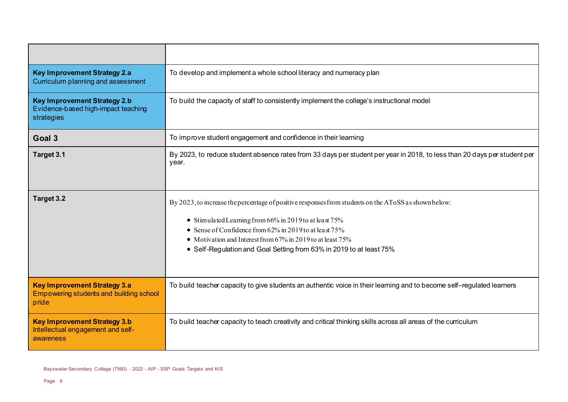| <b>Key Improvement Strategy 2.a</b><br>Curriculum planning and assessment                | To develop and implement a whole school literacy and numeracy plan                                                                                                                                                                                                                                                                                                  |  |
|------------------------------------------------------------------------------------------|---------------------------------------------------------------------------------------------------------------------------------------------------------------------------------------------------------------------------------------------------------------------------------------------------------------------------------------------------------------------|--|
| <b>Key Improvement Strategy 2.b</b><br>Evidence-based high-impact teaching<br>strategies | To build the capacity of staff to consistently implement the college's instructional model                                                                                                                                                                                                                                                                          |  |
| Goal 3                                                                                   | To improve student engagement and confidence in their learning                                                                                                                                                                                                                                                                                                      |  |
| Target 3.1                                                                               | By 2023, to reduce student absence rates from 33 days per student per year in 2018, to less than 20 days per student per<br>year.                                                                                                                                                                                                                                   |  |
| Target 3.2                                                                               | By 2023, to increase the percentage of positive responses from students on the AToSS as shown below:<br>• Stimulated Learning from 66% in 2019 to at least 75%<br>• Sense of Confidence from $62\%$ in 2019 to at least $75\%$<br>• Motivation and Interest from 67% in 2019 to at least 75%<br>• Self-Regulation and Goal Setting from 63% in 2019 to at least 75% |  |
| <b>Key Improvement Strategy 3.a</b><br>Empowering students and building school<br>pride  | To build teacher capacity to give students an authentic voice in their learning and to become self-regulated learners                                                                                                                                                                                                                                               |  |
| <b>Key Improvement Strategy 3.b</b><br>Intellectual engagement and self-<br>awareness    | To build teacher capacity to teach creativity and critical thinking skills across all areas of the curriculum                                                                                                                                                                                                                                                       |  |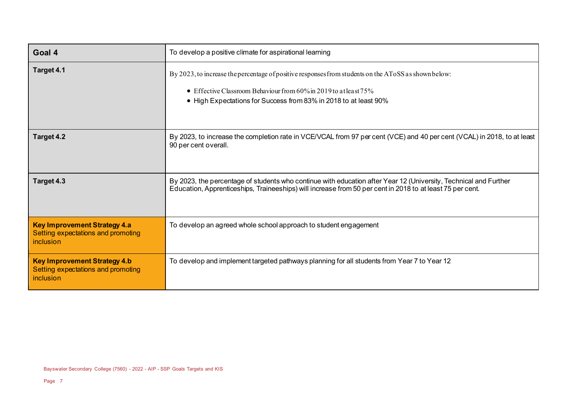| Goal 4                                                                                 | To develop a positive climate for aspirational learning                                                                                                                                                                                            |  |  |
|----------------------------------------------------------------------------------------|----------------------------------------------------------------------------------------------------------------------------------------------------------------------------------------------------------------------------------------------------|--|--|
| Target 4.1                                                                             | By 2023, to increase the percentage of positive responses from students on the AToSS as shown below:<br>• Effective Classroom Behaviour from $60\%$ in 2019 to at least $75\%$<br>• High Expectations for Success from 83% in 2018 to at least 90% |  |  |
| Target 4.2                                                                             | By 2023, to increase the completion rate in VCE/VCAL from 97 per cent (VCE) and 40 per cent (VCAL) in 2018, to at least<br>90 per cent overall.                                                                                                    |  |  |
| Target 4.3                                                                             | By 2023, the percentage of students who continue with education after Year 12 (University, Technical and Further<br>Education, Apprenticeships, Traineeships) will increase from 50 per cent in 2018 to at least 75 per cent.                      |  |  |
| <b>Key Improvement Strategy 4.a</b><br>Setting expectations and promoting<br>inclusion | To develop an agreed whole school approach to student engagement                                                                                                                                                                                   |  |  |
| <b>Key Improvement Strategy 4.b</b><br>Setting expectations and promoting<br>inclusion | To develop and implement targeted pathways planning for all students from Year 7 to Year 12                                                                                                                                                        |  |  |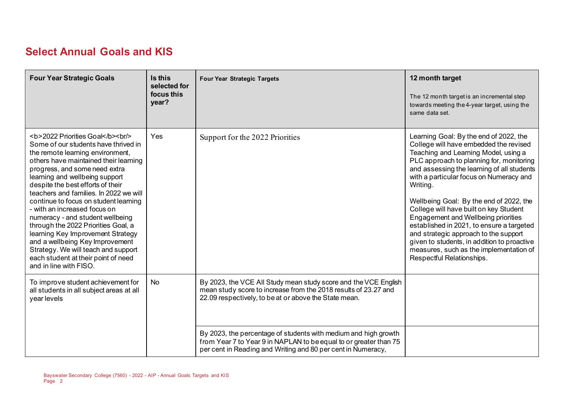# **Select Annual Goals and KIS**

| <b>Four Year Strategic Goals</b>                                                                                    | Is this<br>selected for<br>focus this<br>year? | <b>Four Year Strategic Targets</b>                                                                                                                                                                                                                                                                                                                                                                  | 12 month target<br>The 12 month target is an incremental step<br>towards meeting the 4-year target, using the<br>same data set.                                                                                                                                                                                                                                                                                                                                                                                                                                                                                    |
|---------------------------------------------------------------------------------------------------------------------|------------------------------------------------|-----------------------------------------------------------------------------------------------------------------------------------------------------------------------------------------------------------------------------------------------------------------------------------------------------------------------------------------------------------------------------------------------------|--------------------------------------------------------------------------------------------------------------------------------------------------------------------------------------------------------------------------------------------------------------------------------------------------------------------------------------------------------------------------------------------------------------------------------------------------------------------------------------------------------------------------------------------------------------------------------------------------------------------|
| <b>2022 Priorities Goal</b><br>>h/><br>Some of our students have thrived in<br>the remote learning environment,<br> | <b>Yes</b>                                     | Support for the 2022 Priorities                                                                                                                                                                                                                                                                                                                                                                     | Learning Goal: By the end of 2022, the<br>College will have embedded the revised<br>Teaching and Learning Model, using a<br>PLC approach to planning for, monitoring<br>and assessing the learning of all students<br>with a particular focus on Numeracy and<br>Writing.<br>Wellbeing Goal: By the end of 2022, the<br>College will have built on key Student<br>Engagement and Wellbeing priorities<br>established in 2021, to ensure a targeted<br>and strategic approach to the support<br>given to students, in addition to proactive<br>measures, such as the implementation of<br>Respectful Relationships. |
| To improve student achievement for<br>all students in all subject areas at all<br>year levels                       | No                                             | By 2023, the VCE All Study mean study score and the VCE English<br>mean study score to increase from the 2018 results of 23.27 and<br>22.09 respectively, to be at or above the State mean.<br>By 2023, the percentage of students with medium and high growth<br>from Year 7 to Year 9 in NAPLAN to be equal to or greater than 75<br>per cent in Reading and Writing and 80 per cent in Numeracy, |                                                                                                                                                                                                                                                                                                                                                                                                                                                                                                                                                                                                                    |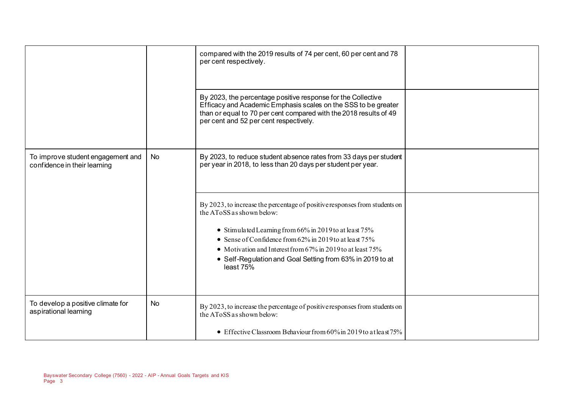|                                                                   |    | compared with the 2019 results of 74 per cent, 60 per cent and 78<br>per cent respectively.                                                                                                                                                                                                                                                                               |  |
|-------------------------------------------------------------------|----|---------------------------------------------------------------------------------------------------------------------------------------------------------------------------------------------------------------------------------------------------------------------------------------------------------------------------------------------------------------------------|--|
|                                                                   |    | By 2023, the percentage positive response for the Collective<br>Efficacy and Academic Emphasis scales on the SSS to be greater<br>than or equal to 70 per cent compared with the 2018 results of 49<br>per cent and 52 per cent respectively.                                                                                                                             |  |
| To improve student engagement and<br>confidence in their learning | No | By 2023, to reduce student absence rates from 33 days per student<br>per year in 2018, to less than 20 days per student per year.                                                                                                                                                                                                                                         |  |
|                                                                   |    | By 2023, to increase the percentage of positive responses from students on<br>the AToSS as shown below:<br>• Stimulated Learning from 66% in 2019 to at least 75%<br>• Sense of Confidence from $62\%$ in 2019 to at least $75\%$<br>• Motivation and Interest from 67% in 2019 to at least 75%<br>• Self-Regulation and Goal Setting from 63% in 2019 to at<br>least 75% |  |
| To develop a positive climate for<br>aspirational learning        | No | By 2023, to increase the percentage of positive responses from students on<br>the AToSS as shown below:<br>• Effective Classroom Behaviour from 60% in 2019 to at least 75%                                                                                                                                                                                               |  |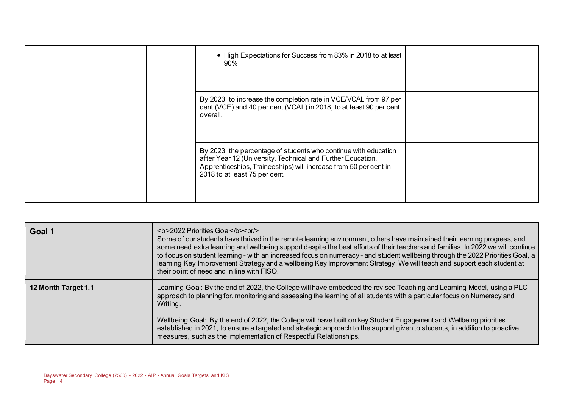| • High Expectations for Success from 83% in 2018 to at least<br>90%                                                                                                                                                                 |  |
|-------------------------------------------------------------------------------------------------------------------------------------------------------------------------------------------------------------------------------------|--|
| By 2023, to increase the completion rate in VCE/VCAL from 97 per<br>cent (VCE) and 40 per cent (VCAL) in 2018, to at least 90 per cent<br>overall.                                                                                  |  |
| By 2023, the percentage of students who continue with education<br>after Year 12 (University, Technical and Further Education,<br>Apprenticeships, Traineeships) will increase from 50 per cent in<br>2018 to at least 75 per cent. |  |

| Goal 1              | <b>2022 Priorities Goal</b><br>>hr<br>Some of our students have thrived in the remote learning environment, others have maintained their learning progress, and<br>some need extra learning and wellbeing support despite the best efforts of their teachers and families. In 2022 we will continue<br>to focus on student learning - with an increased focus on numeracy - and student wellbeing through the 2022 Priorities Goal, a<br>learning Key Improvement Strategy and a wellbeing Key Improvement Strategy. We will teach and support each student at<br>their point of need and in line with FISO. |
|---------------------|--------------------------------------------------------------------------------------------------------------------------------------------------------------------------------------------------------------------------------------------------------------------------------------------------------------------------------------------------------------------------------------------------------------------------------------------------------------------------------------------------------------------------------------------------------------------------------------------------------------|
| 12 Month Target 1.1 | Learning Goal: By the end of 2022, the College will have embedded the revised Teaching and Learning Model, using a PLC<br>approach to planning for, monitoring and assessing the learning of all students with a particular focus on Numeracy and<br>Writing.<br>Wellbeing Goal: By the end of 2022, the College will have built on key Student Engagement and Wellbeing priorities<br>established in 2021, to ensure a targeted and strategic approach to the support given to students, in addition to proactive<br>measures, such as the implementation of Respectful Relationships.                      |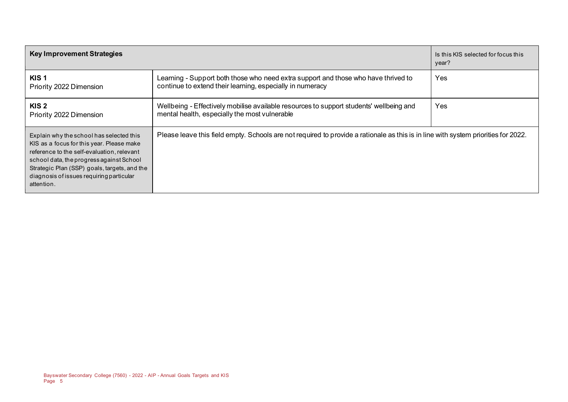| <b>Key Improvement Strategies</b>                                                                                                                                                                                                                                                         |                                                                                                                                                 | Is this KIS selected for focus this<br>year? |
|-------------------------------------------------------------------------------------------------------------------------------------------------------------------------------------------------------------------------------------------------------------------------------------------|-------------------------------------------------------------------------------------------------------------------------------------------------|----------------------------------------------|
| KIS <sub>1</sub><br>Priority 2022 Dimension                                                                                                                                                                                                                                               | Learning - Support both those who need extra support and those who have thrived to<br>continue to extend their learning, especially in numeracy | <b>Yes</b>                                   |
| KIS 2<br>Priority 2022 Dimension                                                                                                                                                                                                                                                          | Wellbeing - Effectively mobilise available resources to support students' wellbeing and<br>mental health, especially the most vulnerable        | Yes                                          |
| Explain why the school has selected this<br>KIS as a focus for this year. Please make<br>reference to the self-evaluation, relevant<br>school data, the progress against School<br>Strategic Plan (SSP) goals, targets, and the<br>diagnosis of issues requiring particular<br>attention. | Please leave this field empty. Schools are not required to provide a rationale as this is in line with system priorities for 2022.              |                                              |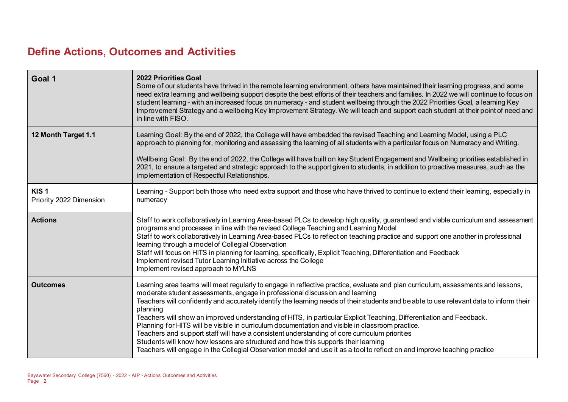# **Define Actions, Outcomes and Activities**

 $\sim$ 

| Goal 1                                      | <b>2022 Priorities Goal</b><br>Some of our students have thrived in the remote learning environment, others have maintained their learning progress, and some<br>need extra learning and wellbeing support despite the best efforts of their teachers and families. In 2022 we will continue to focus on<br>student learning - with an increased focus on numeracy - and student wellbeing through the 2022 Priorities Goal, a learning Key<br>Improvement Strategy and a wellbeing Key Improvement Strategy. We will teach and support each student at their point of need and<br>in line with FISO.                                                                                                                                                                                                                                                                                                                  |
|---------------------------------------------|------------------------------------------------------------------------------------------------------------------------------------------------------------------------------------------------------------------------------------------------------------------------------------------------------------------------------------------------------------------------------------------------------------------------------------------------------------------------------------------------------------------------------------------------------------------------------------------------------------------------------------------------------------------------------------------------------------------------------------------------------------------------------------------------------------------------------------------------------------------------------------------------------------------------|
| 12 Month Target 1.1                         | Learning Goal: By the end of 2022, the College will have embedded the revised Teaching and Learning Model, using a PLC<br>approach to planning for, monitoring and assessing the learning of all students with a particular focus on Numeracy and Writing.<br>Wellbeing Goal: By the end of 2022, the College will have built on key Student Engagement and Wellbeing priorities established in<br>2021, to ensure a targeted and strategic approach to the support given to students, in addition to proactive measures, such as the<br>implementation of Respectful Relationships.                                                                                                                                                                                                                                                                                                                                   |
| KIS <sub>1</sub><br>Priority 2022 Dimension | Learning - Support both those who need extra support and those who have thrived to continue to extend their learning, especially in<br>numeracy                                                                                                                                                                                                                                                                                                                                                                                                                                                                                                                                                                                                                                                                                                                                                                        |
| <b>Actions</b>                              | Staff to work collaboratively in Learning Area-based PLCs to develop high quality, guaranteed and viable curriculum and assessment<br>programs and processes in line with the revised College Teaching and Learning Model<br>Staff to work collaboratively in Learning Area-based PLCs to reflect on teaching practice and support one another in professional<br>learning through a model of Collegial Observation<br>Staff will focus on HITS in planning for learning, specifically, Explicit Teaching, Differentiation and Feedback<br>Implement revised Tutor Learning Initiative across the College<br>Implement revised approach to MYLNS                                                                                                                                                                                                                                                                       |
| <b>Outcomes</b>                             | Learning area teams will meet regularly to engage in reflective practice, evaluate and plan curriculum, assessments and lessons,<br>moderate student assessments, engage in professional discussion and learning<br>Teachers will confidently and accurately identify the learning needs of their students and be able to use relevant data to inform their<br>planning<br>Teachers will show an improved understanding of HITS, in particular Explicit Teaching, Differentiation and Feedback.<br>Planning for HITS will be visible in curriculum documentation and visible in classroom practice.<br>Teachers and support staff will have a consistent understanding of core curriculum priorities<br>Students will know how lessons are structured and how this supports their learning<br>Teachers will engage in the Collegial Observation model and use it as a tool to reflect on and improve teaching practice |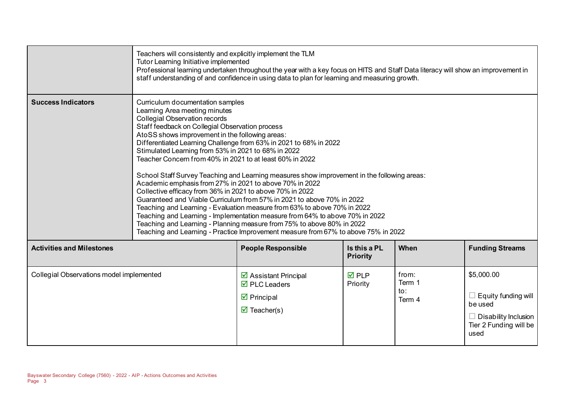|                                          | Teachers will consistently and explicitly implement the TLM<br>Tutor Learning Initiative implemented                                                                                                                                                                                                                                                                                                                                                | Professional learning undertaken throughout the year with a key focus on HITS and Staff Data literacy will show an improvement in<br>staff understanding of and confidence in using data to plan for learning and measuring growth.                                                                                                                                                                                                                                                                                                                                    |                                 |                                  |                                                                                                                      |
|------------------------------------------|-----------------------------------------------------------------------------------------------------------------------------------------------------------------------------------------------------------------------------------------------------------------------------------------------------------------------------------------------------------------------------------------------------------------------------------------------------|------------------------------------------------------------------------------------------------------------------------------------------------------------------------------------------------------------------------------------------------------------------------------------------------------------------------------------------------------------------------------------------------------------------------------------------------------------------------------------------------------------------------------------------------------------------------|---------------------------------|----------------------------------|----------------------------------------------------------------------------------------------------------------------|
| <b>Success Indicators</b>                | Curriculum documentation samples<br>Learning Area meeting minutes<br>Collegial Observation records<br>Staff feedback on Collegial Observation process<br>AtoSS shows improvement in the following areas:<br>Stimulated Learning from 53% in 2021 to 68% in 2022<br>Teacher Concern from 40% in 2021 to at least 60% in 2022<br>Academic emphasis from 27% in 2021 to above 70% in 2022<br>Collective efficacy from 36% in 2021 to above 70% in 2022 | Differentiated Learning Challenge from 63% in 2021 to 68% in 2022<br>School Staff Survey Teaching and Learning measures show improvement in the following areas:<br>Guaranteed and Viable Curriculum from 57% in 2021 to above 70% in 2022<br>Teaching and Learning - Evaluation measure from 63% to above 70% in 2022<br>Teaching and Learning - Implementation measure from 64% to above 70% in 2022<br>Teaching and Learning - Planning measure from 75% to above 80% in 2022<br>Teaching and Learning - Practice Improvement measure from 67% to above 75% in 2022 |                                 |                                  |                                                                                                                      |
| <b>Activities and Milestones</b>         |                                                                                                                                                                                                                                                                                                                                                                                                                                                     | <b>People Responsible</b>                                                                                                                                                                                                                                                                                                                                                                                                                                                                                                                                              | Is this a PL<br><b>Priority</b> | When                             | <b>Funding Streams</b>                                                                                               |
| Collegial Observations model implemented |                                                                                                                                                                                                                                                                                                                                                                                                                                                     | $\triangleright$ Assistant Principal<br>$\overline{\boxtimes}$ PLC Leaders<br>$\triangledown$ Principal<br>$\overline{\mathbf{M}}$ Teacher(s)                                                                                                                                                                                                                                                                                                                                                                                                                          | $\overline{M}$ PLP<br>Priority  | from:<br>Term 1<br>to:<br>Term 4 | \$5,000.00<br>$\Box$ Equity funding will<br>be used<br>$\Box$ Disability Inclusion<br>Tier 2 Funding will be<br>used |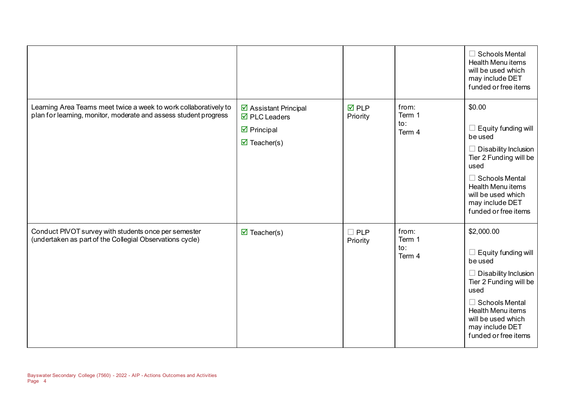|                                                                                                                                      |                                                                                                                                |                                |                                  | <b>Schools Mental</b><br><b>Health Menu items</b><br>will be used which<br>may include DET<br>funded or free items                                                                                                           |
|--------------------------------------------------------------------------------------------------------------------------------------|--------------------------------------------------------------------------------------------------------------------------------|--------------------------------|----------------------------------|------------------------------------------------------------------------------------------------------------------------------------------------------------------------------------------------------------------------------|
| Learning Area Teams meet twice a week to work collaboratively to<br>plan for learning, monitor, moderate and assess student progress | ☑ Assistant Principal<br>$\overline{\boxtimes}$ PLC Leaders<br>$\triangledown$ Principal<br>$\overline{\mathbf{M}}$ Teacher(s) | $\overline{M}$ PLP<br>Priority | from:<br>Term 1<br>to:<br>Term 4 | \$0.00<br>Equity funding will<br>be used<br>Disability Inclusion<br>Tier 2 Funding will be<br>used<br>$\Box$ Schools Mental<br>Health Menu items<br>will be used which<br>may include DET<br>funded or free items            |
| Conduct PIVOT survey with students once per semester<br>(undertaken as part of the Collegial Observations cycle)                     | $\overline{\mathbf{M}}$ Teacher(s)                                                                                             | $\square$ PLP<br>Priority      | from:<br>Term 1<br>to:<br>Term 4 | \$2,000.00<br>Equity funding will<br>be used<br>Disability Inclusion<br>Tier 2 Funding will be<br>used<br><b>Schools Mental</b><br><b>Health Menu items</b><br>will be used which<br>may include DET<br>funded or free items |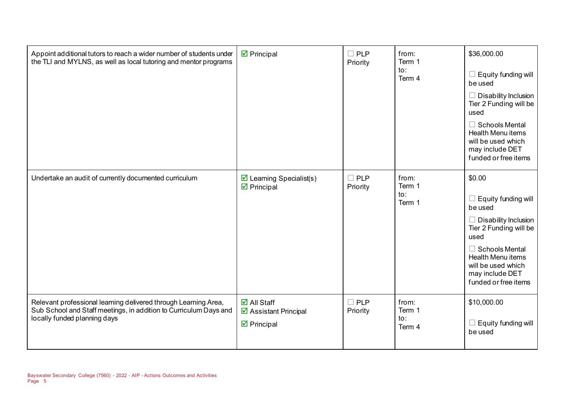| Appoint additional tutors to reach a wider number of students under<br>the TLI and MYLNS, as well as local tutoring and mentor programs                              | $\overline{\mathbf{y}}$ Principal                                                          | $\Box$ PLP<br>Priority    | from:<br>Term 1<br>to:<br>Term 4 | \$36,000.00<br>$\Box$ Equity funding will<br>be used<br>$\Box$ Disability Inclusion<br>Tier 2 Funding will be<br>used<br>$\Box$ Schools Mental<br><b>Health Menu items</b><br>will be used which<br>may include DET<br>funded or free items |
|----------------------------------------------------------------------------------------------------------------------------------------------------------------------|--------------------------------------------------------------------------------------------|---------------------------|----------------------------------|---------------------------------------------------------------------------------------------------------------------------------------------------------------------------------------------------------------------------------------------|
| Undertake an audit of currently documented curriculum                                                                                                                | $\triangleright$ Learning Specialist(s)<br>$\triangleright$ Principal                      | $\Box$ PLP<br>Priority    | from:<br>Term 1<br>to:<br>Term 1 | \$0.00<br>$\Box$ Equity funding will<br>be used<br>$\Box$ Disability Inclusion<br>Tier 2 Funding will be<br>used<br>$\Box$ Schools Mental<br>Health Menu items<br>will be used which<br>may include DET<br>funded or free items             |
| Relevant professional learning delivered through Learning Area,<br>Sub School and Staff meetings, in addition to Curriculum Days and<br>locally funded planning days | $\boxtimes$ All Staff<br>$\triangleright$ Assistant Principal<br>$\triangledown$ Principal | $\square$ PLP<br>Priority | from:<br>Term 1<br>to:<br>Term 4 | \$10,000.00<br>$\Box$ Equity funding will<br>be used                                                                                                                                                                                        |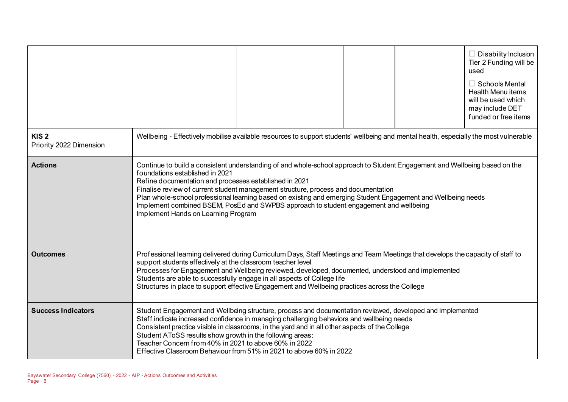|                                             |                                                                                                                                                                                                                                                                                                                                                                                                                                                                                                                                                                |                                                                                                                                                                                                                                                                                                                                                                                                                    |  |  | $\Box$ Disability Inclusion<br>Tier 2 Funding will be<br>used<br>$\Box$ Schools Mental<br>Health Menu items<br>will be used which<br>may include DET<br>funded or free items |
|---------------------------------------------|----------------------------------------------------------------------------------------------------------------------------------------------------------------------------------------------------------------------------------------------------------------------------------------------------------------------------------------------------------------------------------------------------------------------------------------------------------------------------------------------------------------------------------------------------------------|--------------------------------------------------------------------------------------------------------------------------------------------------------------------------------------------------------------------------------------------------------------------------------------------------------------------------------------------------------------------------------------------------------------------|--|--|------------------------------------------------------------------------------------------------------------------------------------------------------------------------------|
| KIS <sub>2</sub><br>Priority 2022 Dimension |                                                                                                                                                                                                                                                                                                                                                                                                                                                                                                                                                                | Wellbeing - Effectively mobilise available resources to support students' wellbeing and mental health, especially the most vulnerable                                                                                                                                                                                                                                                                              |  |  |                                                                                                                                                                              |
| <b>Actions</b>                              | Continue to build a consistent understanding of and whole-school approach to Student Engagement and Wellbeing based on the<br>foundations established in 2021<br>Refine documentation and processes established in 2021<br>Finalise review of current student management structure, process and documentation<br>Plan whole-school professional learning based on existing and emerging Student Engagement and Wellbeing needs<br>Implement combined BSEM, PosEd and SWPBS approach to student engagement and wellbeing<br>Implement Hands on Learning Program |                                                                                                                                                                                                                                                                                                                                                                                                                    |  |  |                                                                                                                                                                              |
| <b>Outcomes</b>                             | support students effectively at the classroom teacher level                                                                                                                                                                                                                                                                                                                                                                                                                                                                                                    | Professional learning delivered during Curriculum Days, Staff Meetings and Team Meetings that develops the capacity of staff to<br>Processes for Engagement and Wellbeing reviewed, developed, documented, understood and implemented<br>Students are able to successfully engage in all aspects of College life<br>Structures in place to support effective Engagement and Wellbeing practices across the College |  |  |                                                                                                                                                                              |
| <b>Success Indicators</b>                   | Student AToSS results show growth in the following areas:<br>Teacher Concern from 40% in 2021 to above 60% in 2022                                                                                                                                                                                                                                                                                                                                                                                                                                             | Student Engagement and Wellbeing structure, process and documentation reviewed, developed and implemented<br>Staff indicate increased confidence in managing challenging behaviors and wellbeing needs<br>Consistent practice visible in classrooms, in the yard and in all other aspects of the College<br>Effective Classroom Behaviour from 51% in 2021 to above 60% in 2022                                    |  |  |                                                                                                                                                                              |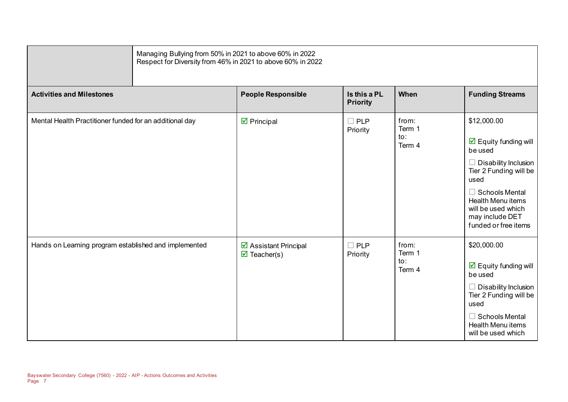|                                                         | Managing Bullying from 50% in 2021 to above 60% in 2022<br>Respect for Diversity from 46% in 2021 to above 60% in 2022 |                                 |                                  |                                                                                                                                                                                                                                                       |  |  |
|---------------------------------------------------------|------------------------------------------------------------------------------------------------------------------------|---------------------------------|----------------------------------|-------------------------------------------------------------------------------------------------------------------------------------------------------------------------------------------------------------------------------------------------------|--|--|
| <b>Activities and Milestones</b>                        | <b>People Responsible</b>                                                                                              | Is this a PL<br><b>Priority</b> | When                             | <b>Funding Streams</b>                                                                                                                                                                                                                                |  |  |
| Mental Health Practitioner funded for an additional day | $\boxtimes$ Principal                                                                                                  | $\square$ PLP<br>Priority       | from:<br>Term 1<br>to:<br>Term 4 | \$12,000.00<br>$\overline{\mathbf{M}}$ Equity funding will<br>be used<br>Disability Inclusion<br>Tier 2 Funding will be<br>used<br>$\Box$ Schools Mental<br><b>Health Menu items</b><br>will be used which<br>may include DET<br>funded or free items |  |  |
| Hands on Learning program established and implemented   | ☑ Assistant Principal<br>$\overline{\mathbf{M}}$ Teacher(s)                                                            | $\square$ PLP<br>Priority       | from:<br>Term 1<br>to:<br>Term 4 | \$20,000.00<br>$\overline{\boxtimes}$ Equity funding will<br>be used<br>Disability Inclusion<br>Tier 2 Funding will be<br>used<br>$\Box$ Schools Mental<br><b>Health Menu items</b><br>will be used which                                             |  |  |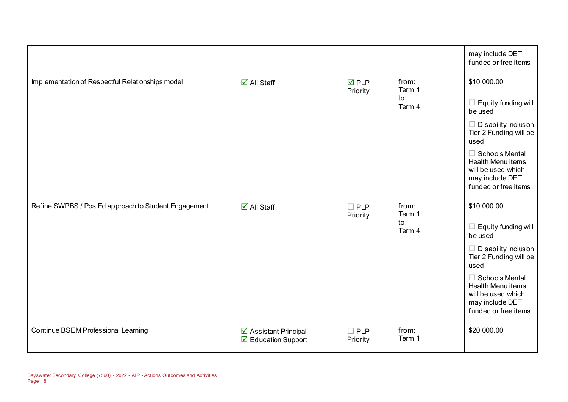|                                                      |                                              |                                |                                  | may include DET<br>funded or free items                                                                                                                                                                                                     |
|------------------------------------------------------|----------------------------------------------|--------------------------------|----------------------------------|---------------------------------------------------------------------------------------------------------------------------------------------------------------------------------------------------------------------------------------------|
| Implementation of Respectful Relationships model     | $\overline{\mathsf{d}}$ All Staff            | $\overline{M}$ PLP<br>Priority | from:<br>Term 1<br>to:<br>Term 4 | \$10,000.00<br>$\Box$ Equity funding will<br>be used<br>$\Box$ Disability Inclusion<br>Tier 2 Funding will be<br>used<br>$\Box$ Schools Mental<br><b>Health Menu items</b><br>will be used which<br>may include DET<br>funded or free items |
| Refine SWPBS / Pos Ed approach to Student Engagement | $\overline{\mathsf{M}}$ All Staff            | $\Box$ PLP<br>Priority         | from:<br>Term 1<br>to:<br>Term 4 | \$10,000.00<br>$\Box$ Equity funding will<br>be used<br>$\Box$ Disability Inclusion<br>Tier 2 Funding will be<br>used<br>$\Box$ Schools Mental<br><b>Health Menu items</b><br>will be used which<br>may include DET<br>funded or free items |
| Continue BSEM Professional Learning                  | ☑ Assistant Principal<br>☑ Education Support | $\Box$ PLP<br>Priority         | from:<br>Term 1                  | \$20,000.00                                                                                                                                                                                                                                 |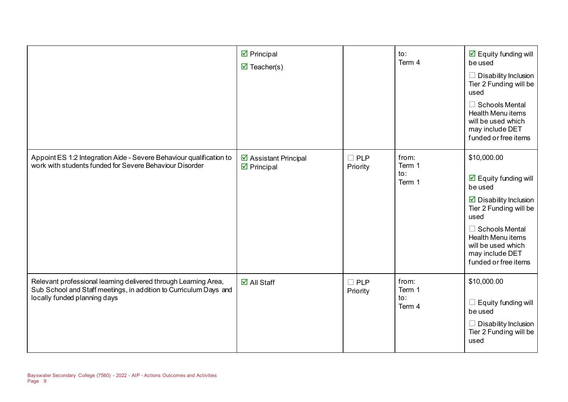|                                                                                                                                                                      | $\triangleright$ Principal<br>$\triangledown$ Teacher(s) |                        | to:<br>Term 4                    | $\overline{\mathbf{M}}$ Equity funding will<br>be used<br>Disability Inclusion<br>Tier 2 Funding will be<br>used<br>$\Box$ Schools Mental<br><b>Health Menu items</b><br>will be used which<br>may include DET<br>funded or free items                                       |
|----------------------------------------------------------------------------------------------------------------------------------------------------------------------|----------------------------------------------------------|------------------------|----------------------------------|------------------------------------------------------------------------------------------------------------------------------------------------------------------------------------------------------------------------------------------------------------------------------|
| Appoint ES 1:2 Integration Aide - Severe Behaviour qualification to<br>work with students funded for Severe Behaviour Disorder                                       | ☑ Assistant Principal<br>$\triangleright$ Principal      | $\Box$ PLP<br>Priority | from:<br>Term 1<br>to:<br>Term 1 | \$10,000.00<br>$\overline{\boxtimes}$ Equity funding will<br>be used<br>$\overline{\mathbf{y}}$ Disability Inclusion<br>Tier 2 Funding will be<br>used<br>$\Box$ Schools Mental<br><b>Health Menu items</b><br>will be used which<br>may include DET<br>funded or free items |
| Relevant professional learning delivered through Learning Area,<br>Sub School and Staff meetings, in addition to Curriculum Days and<br>locally funded planning days | $\boxdot$ All Staff                                      | $\Box$ PLP<br>Priority | from:<br>Term 1<br>to:<br>Term 4 | \$10,000.00<br>Equity funding will<br>be used<br>Disability Inclusion<br>Tier 2 Funding will be<br>used                                                                                                                                                                      |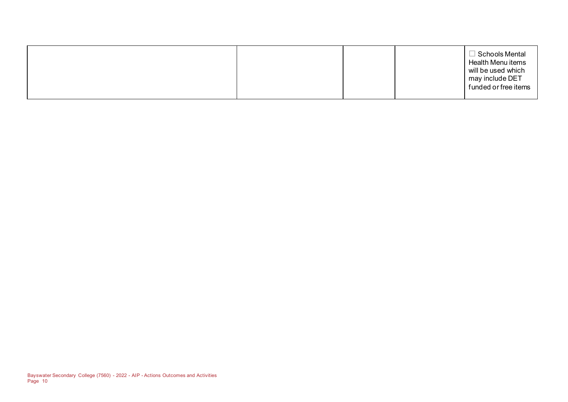|  |  |  | $\exists$ Schools Mental<br>Health Menu items<br>will be used which<br>may include DET<br>funded or free items |
|--|--|--|----------------------------------------------------------------------------------------------------------------|
|--|--|--|----------------------------------------------------------------------------------------------------------------|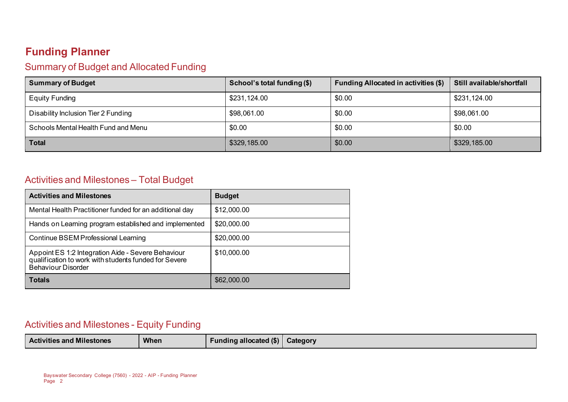# **Funding Planner**

## Summary of Budget and Allocated Funding

| <b>Summary of Budget</b>            | School's total funding (\$) | <b>Funding Allocated in activities (\$)</b> | Still available/shortfall |
|-------------------------------------|-----------------------------|---------------------------------------------|---------------------------|
| Equity Funding                      | \$231,124.00                | \$0.00                                      | \$231,124.00              |
| Disability Inclusion Tier 2 Funding | \$98,061.00                 | \$0.00                                      | \$98,061.00               |
| Schools Mental Health Fund and Menu | \$0.00                      | \$0.00                                      | \$0.00                    |
| <b>Total</b>                        | \$329,185.00                | \$0.00                                      | \$329,185.00              |

## Activities and Milestones – Total Budget

| <b>Activities and Milestones</b>                                                                                                         | <b>Budget</b> |
|------------------------------------------------------------------------------------------------------------------------------------------|---------------|
| Mental Health Practitioner funded for an additional day                                                                                  | \$12,000.00   |
| Hands on Learning program established and implemented                                                                                    | \$20,000.00   |
| Continue BSEM Professional Learning                                                                                                      | \$20,000.00   |
| Appoint ES 1:2 Integration Aide - Severe Behaviour<br>qualification to work with students funded for Severe<br><b>Behaviour Disorder</b> | \$10,000.00   |
| Totals                                                                                                                                   | \$62,000.00   |

## Activities and Milestones - Equity Funding

| <b>Activities and Milestones</b> | <b>When</b> | unding allocated (\$) | Category |
|----------------------------------|-------------|-----------------------|----------|
|----------------------------------|-------------|-----------------------|----------|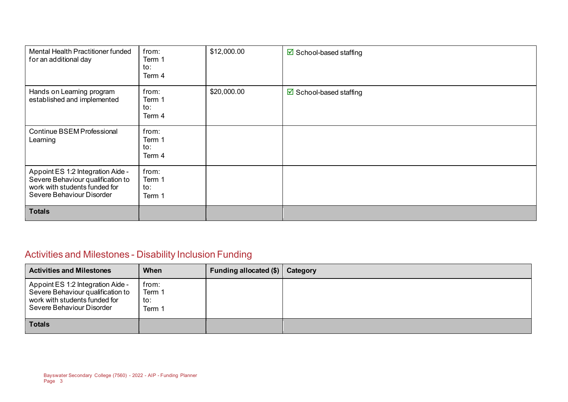| Mental Health Practitioner funded<br>for an additional day                                                                           | from:<br>Term 1<br>to:<br>Term 4 | \$12,000.00 | $\boxtimes$ School-based staffing |
|--------------------------------------------------------------------------------------------------------------------------------------|----------------------------------|-------------|-----------------------------------|
| Hands on Learning program<br>established and implemented                                                                             | from:<br>Term 1<br>to:<br>Term 4 | \$20,000.00 | ☑ School-based staffing           |
| Continue BSEM Professional<br>Learning                                                                                               | from:<br>Term 1<br>to:<br>Term 4 |             |                                   |
| Appoint ES 1:2 Integration Aide -<br>Severe Behaviour qualification to<br>work with students funded for<br>Severe Behaviour Disorder | from:<br>Term 1<br>to:<br>Term 1 |             |                                   |
| <b>Totals</b>                                                                                                                        |                                  |             |                                   |

# Activities and Milestones - Disability Inclusion Funding

| <b>Activities and Milestones</b>                                                                                                     | When                             | <b>Funding allocated (\$)</b> | Category |
|--------------------------------------------------------------------------------------------------------------------------------------|----------------------------------|-------------------------------|----------|
| Appoint ES 1:2 Integration Aide -<br>Severe Behaviour qualification to<br>work with students funded for<br>Severe Behaviour Disorder | from:<br>Term 1<br>to:<br>Term 1 |                               |          |
| <b>Totals</b>                                                                                                                        |                                  |                               |          |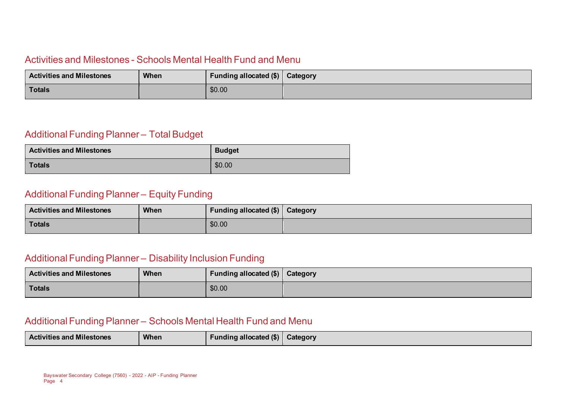### Activities and Milestones - Schools Mental Health Fund and Menu

| <b>Activities and Milestones</b> | When | Funding allocated (\$)   Category |  |
|----------------------------------|------|-----------------------------------|--|
| Totals                           |      | \$0.00                            |  |

#### Additional Funding Planner – Total Budget

| <b>Activities and Milestones</b> | <b>Budget</b> |
|----------------------------------|---------------|
| <b>Totals</b>                    | \$0.00        |

### Additional Funding Planner – Equity Funding

| <b>Activities and Milestones</b> | <b>When</b> | Funding allocated (\$)   Category |  |
|----------------------------------|-------------|-----------------------------------|--|
| <b>Totals</b>                    |             | \$0.00                            |  |

### Additional Funding Planner – Disability Inclusion Funding

| <b>Activities and Milestones</b> | <b>When</b> | Funding allocated (\$) Category |  |
|----------------------------------|-------------|---------------------------------|--|
| <b>Totals</b>                    |             | \$0.00                          |  |

### Additional Funding Planner – Schools Mental Health Fund and Menu

| <b>Activities and Milestones</b><br>When | Funding allocated $(\$)$ | <b>Category</b> |
|------------------------------------------|--------------------------|-----------------|
|------------------------------------------|--------------------------|-----------------|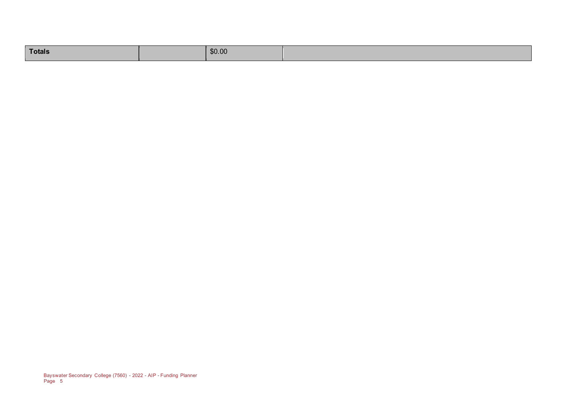| Totals | \$0.00 |  |
|--------|--------|--|
|        |        |  |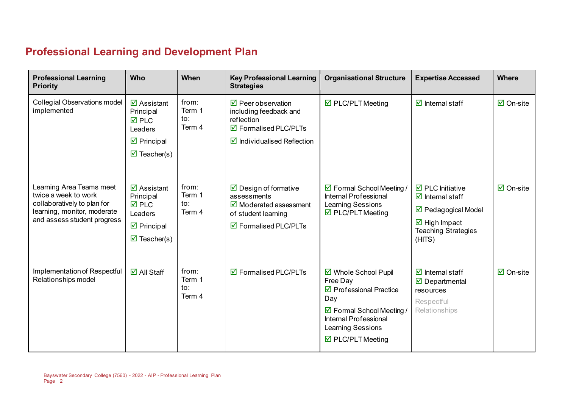# **Professional Learning and Development Plan**

| <b>Professional Learning</b><br><b>Priority</b>                                                                                               | <b>Who</b>                                                                                                                                          | When                             | <b>Key Professional Learning</b><br><b>Strategies</b>                                                                                             | <b>Organisational Structure</b>                                                                                                                                                                              | <b>Expertise Accessed</b>                                                                                                                                                            | <b>Where</b>        |
|-----------------------------------------------------------------------------------------------------------------------------------------------|-----------------------------------------------------------------------------------------------------------------------------------------------------|----------------------------------|---------------------------------------------------------------------------------------------------------------------------------------------------|--------------------------------------------------------------------------------------------------------------------------------------------------------------------------------------------------------------|--------------------------------------------------------------------------------------------------------------------------------------------------------------------------------------|---------------------|
| <b>Collegial Observations model</b><br>implemented                                                                                            | $\overline{\mathbf{M}}$ Assistant<br>Principal<br>$\overline{M}$ PLC<br>Leaders<br>$\boxtimes$ Principal<br>$\overline{\mathbf{M}}$ Teacher(s)      | from:<br>Term 1<br>to:<br>Term 4 | $\overline{\boxtimes}$ Peer observation<br>including feedback and<br>reflection<br>☑ Formalised PLC/PLTs<br>$\boxtimes$ Individualised Reflection | $\triangledown$ PLC/PLT Meeting                                                                                                                                                                              | $\overline{\mathcal{A}}$ Internal staff                                                                                                                                              | $\boxdot$ On-site   |
| Learning Area Teams meet<br>twice a week to work<br>collaboratively to plan for<br>learning, monitor, moderate<br>and assess student progress | $\overline{\mathbf{z}}$ Assistant<br>Principal<br>$\overline{M}$ PLC<br>Leaders<br>$\triangleright$ Principal<br>$\overline{\mathbf{M}}$ Teacher(s) | from:<br>Term 1<br>to:<br>Term 4 | $\triangleright$ Design of formative<br>assessments<br>$\boxtimes$ Moderated assessment<br>of student learning<br>☑ Formalised PLC/PLTs           | ☑ Formal School Meeting /<br>Internal Professional<br>Learning Sessions<br>$\boxtimes$ PLC/PLT Meeting                                                                                                       | $\overline{\boxtimes}$ PLC Initiative<br>$\overline{\mathbf{y}}$ Internal staff<br>☑ Pedagogical Model<br>$\overline{\boxtimes}$ High Impact<br><b>Teaching Strategies</b><br>(HITS) | $\boxtimes$ On-site |
| Implementation of Respectful<br>Relationships model                                                                                           | $\boxdot$ All Staff                                                                                                                                 | from:<br>Term 1<br>to:<br>Term 4 | $\overline{\mathbf{9}}$ Formalised PLC/PLTs                                                                                                       | ☑ Whole School Pupil<br>Free Day<br>$\triangledown$ Professional Practice<br>Day<br>☑ Formal School Meeting /<br><b>Internal Professional</b><br><b>Learning Sessions</b><br>$\triangledown$ PLC/PLT Meeting | $\overline{\mathcal{A}}$ Internal staff<br>$\overline{\boxtimes}$ Departmental<br>resources<br>Respectful<br>Relationships                                                           | $\boxtimes$ On-site |